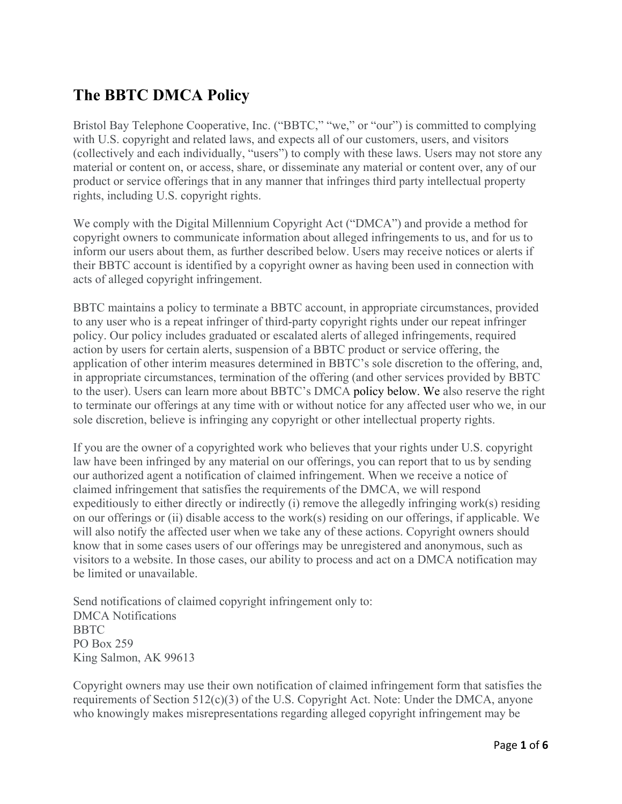# **The BBTC DMCA Policy**

Bristol Bay Telephone Cooperative, Inc. ("BBTC," "we," or "our") is committed to complying with U.S. copyright and related laws, and expects all of our customers, users, and visitors (collectively and each individually, "users") to comply with these laws. Users may not store any material or content on, or access, share, or disseminate any material or content over, any of our product or service offerings that in any manner that infringes third party intellectual property rights, including U.S. copyright rights.

We comply with the Digital Millennium Copyright Act ("DMCA") and provide a method for copyright owners to communicate information about alleged infringements to us, and for us to inform our users about them, as further described below. Users may receive notices or alerts if their BBTC account is identified by a copyright owner as having been used in connection with acts of alleged copyright infringement.

BBTC maintains a policy to terminate a BBTC account, in appropriate circumstances, provided to any user who is a repeat infringer of third-party copyright rights under our repeat infringer policy. Our policy includes graduated or escalated alerts of alleged infringements, required action by users for certain alerts, suspension of a BBTC product or service offering, the application of other interim measures determined in BBTC's sole discretion to the offering, and, in appropriate circumstances, termination of the offering (and other services provided by BBTC to the user). Users can learn more about BBTC's DMCA policy below. We also reserve the right to terminate our offerings at any time with or without notice for any affected user who we, in our sole discretion, believe is infringing any copyright or other intellectual property rights.

If you are the owner of a copyrighted work who believes that your rights under U.S. copyright law have been infringed by any material on our offerings, you can report that to us by sending our authorized agent a notification of claimed infringement. When we receive a notice of claimed infringement that satisfies the requirements of the DMCA, we will respond expeditiously to either directly or indirectly (i) remove the allegedly infringing work(s) residing on our offerings or (ii) disable access to the work(s) residing on our offerings, if applicable. We will also notify the affected user when we take any of these actions. Copyright owners should know that in some cases users of our offerings may be unregistered and anonymous, such as visitors to a website. In those cases, our ability to process and act on a DMCA notification may be limited or unavailable.

Send notifications of claimed copyright infringement only to: DMCA Notifications **BBTC** PO Box 259 King Salmon, AK 99613

Copyright owners may use their own notification of claimed infringement form that satisfies the requirements of Section 512(c)(3) of the U.S. Copyright Act. Note: Under the DMCA, anyone who knowingly makes misrepresentations regarding alleged copyright infringement may be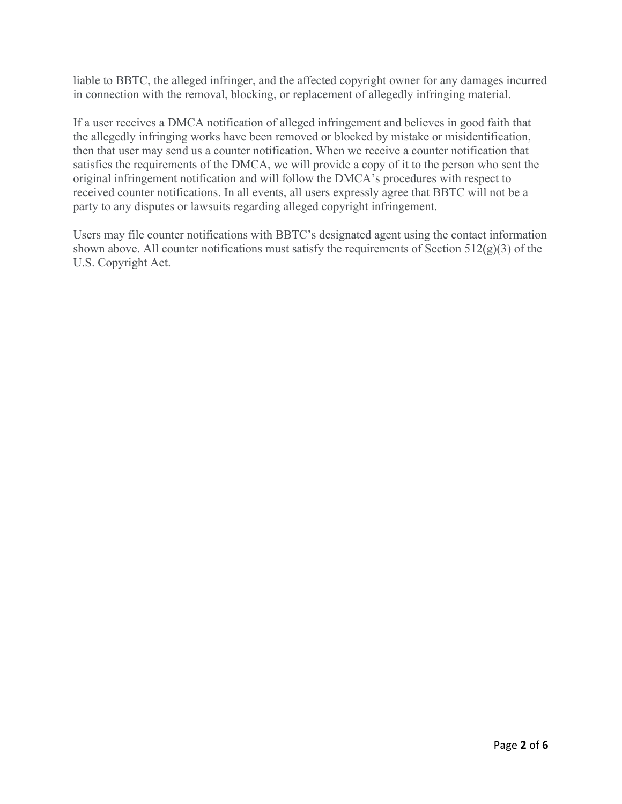liable to BBTC, the alleged infringer, and the affected copyright owner for any damages incurred in connection with the removal, blocking, or replacement of allegedly infringing material.

If a user receives a DMCA notification of alleged infringement and believes in good faith that the allegedly infringing works have been removed or blocked by mistake or misidentification, then that user may send us a counter notification. When we receive a counter notification that satisfies the requirements of the DMCA, we will provide a copy of it to the person who sent the original infringement notification and will follow the DMCA's procedures with respect to received counter notifications. In all events, all users expressly agree that BBTC will not be a party to any disputes or lawsuits regarding alleged copyright infringement.

Users may file counter notifications with BBTC's designated agent using the contact information shown above. All counter notifications must satisfy the requirements of Section  $512(g)(3)$  of the U.S. Copyright Act.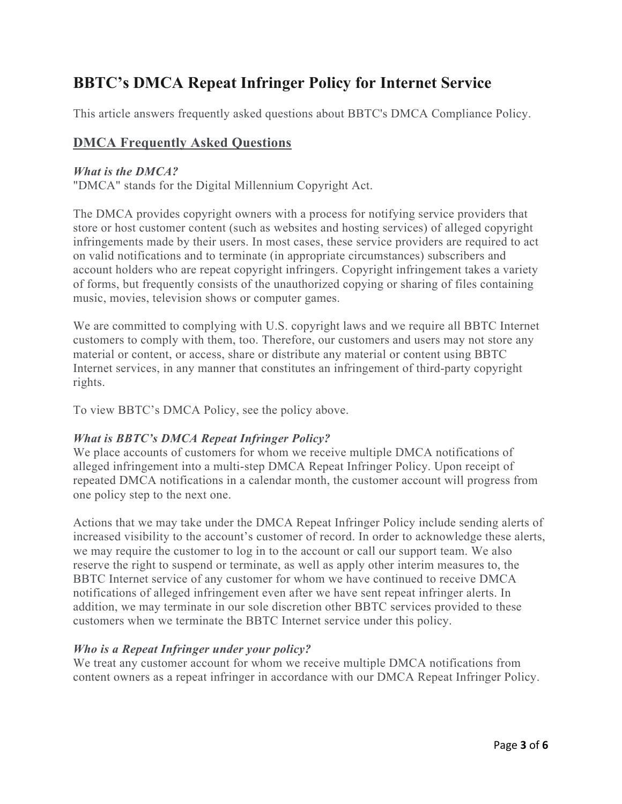# **BBTC's DMCA Repeat Infringer Policy for Internet Service**

This article answers frequently asked questions about BBTC's DMCA Compliance Policy.

## **DMCA Frequently Asked Questions**

#### *What is the DMCA?*

"DMCA" stands for the Digital Millennium Copyright Act.

The DMCA provides copyright owners with a process for notifying service providers that store or host customer content (such as websites and hosting services) of alleged copyright infringements made by their users. In most cases, these service providers are required to act on valid notifications and to terminate (in appropriate circumstances) subscribers and account holders who are repeat copyright infringers. Copyright infringement takes a variety of forms, but frequently consists of the unauthorized copying or sharing of files containing music, movies, television shows or computer games.

We are committed to complying with U.S. copyright laws and we require all BBTC Internet customers to comply with them, too. Therefore, our customers and users may not store any material or content, or access, share or distribute any material or content using BBTC Internet services, in any manner that constitutes an infringement of third-party copyright rights.

To view BBTC's DMCA Policy, see the policy above.

### *What is BBTC's DMCA Repeat Infringer Policy?*

We place accounts of customers for whom we receive multiple DMCA notifications of alleged infringement into a multi-step DMCA Repeat Infringer Policy. Upon receipt of repeated DMCA notifications in a calendar month, the customer account will progress from one policy step to the next one.

Actions that we may take under the DMCA Repeat Infringer Policy include sending alerts of increased visibility to the account's customer of record. In order to acknowledge these alerts, we may require the customer to log in to the account or call our support team. We also reserve the right to suspend or terminate, as well as apply other interim measures to, the BBTC Internet service of any customer for whom we have continued to receive DMCA notifications of alleged infringement even after we have sent repeat infringer alerts. In addition, we may terminate in our sole discretion other BBTC services provided to these customers when we terminate the BBTC Internet service under this policy.

### *Who is a Repeat Infringer under your policy?*

We treat any customer account for whom we receive multiple DMCA notifications from content owners as a repeat infringer in accordance with our DMCA Repeat Infringer Policy.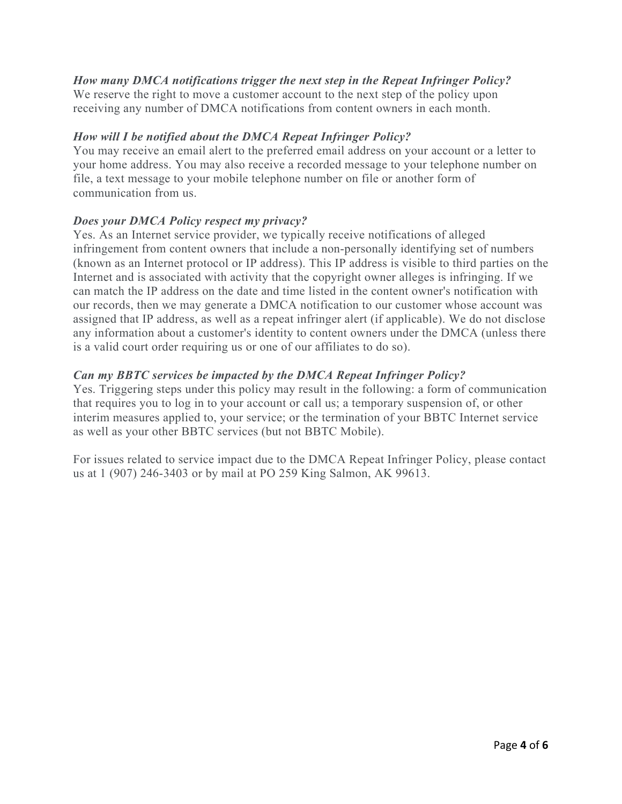## *How many DMCA notifications trigger the next step in the Repeat Infringer Policy?*

We reserve the right to move a customer account to the next step of the policy upon receiving any number of DMCA notifications from content owners in each month.

### *How will I be notified about the DMCA Repeat Infringer Policy?*

You may receive an email alert to the preferred email address on your account or a letter to your home address. You may also receive a recorded message to your telephone number on file, a text message to your mobile telephone number on file or another form of communication from us.

#### *Does your DMCA Policy respect my privacy?*

Yes. As an Internet service provider, we typically receive notifications of alleged infringement from content owners that include a non-personally identifying set of numbers (known as an Internet protocol or IP address). This IP address is visible to third parties on the Internet and is associated with activity that the copyright owner alleges is infringing. If we can match the IP address on the date and time listed in the content owner's notification with our records, then we may generate a DMCA notification to our customer whose account was assigned that IP address, as well as a repeat infringer alert (if applicable). We do not disclose any information about a customer's identity to content owners under the DMCA (unless there is a valid court order requiring us or one of our affiliates to do so).

#### *Can my BBTC services be impacted by the DMCA Repeat Infringer Policy?*

Yes. Triggering steps under this policy may result in the following: a form of communication that requires you to log in to your account or call us; a temporary suspension of, or other interim measures applied to, your service; or the termination of your BBTC Internet service as well as your other BBTC services (but not BBTC Mobile).

For issues related to service impact due to the DMCA Repeat Infringer Policy, please contact us at 1 (907) 246-3403 or by mail at PO 259 King Salmon, AK 99613.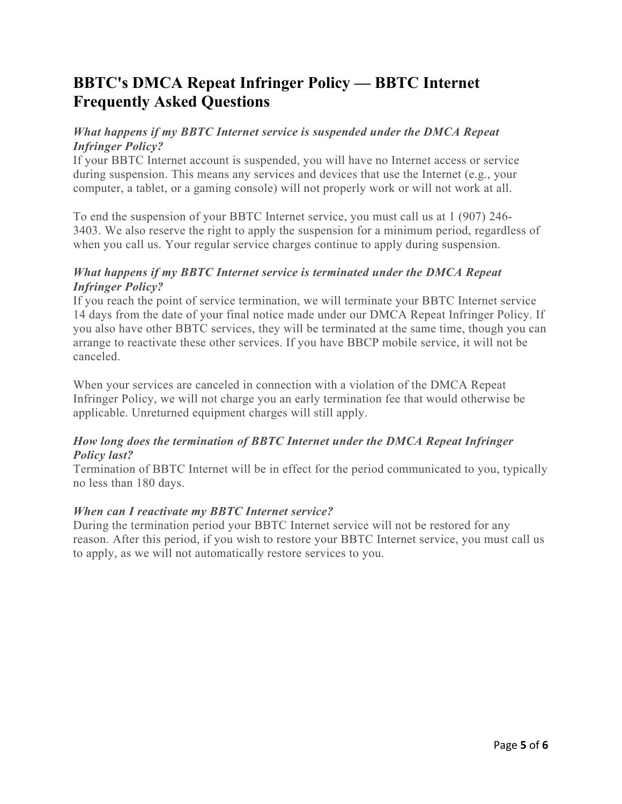## **BBTC's DMCA Repeat Infringer Policy — BBTC Internet Frequently Asked Questions**

## *What happens if my BBTC Internet service is suspended under the DMCA Repeat Infringer Policy?*

If your BBTC Internet account is suspended, you will have no Internet access or service during suspension. This means any services and devices that use the Internet (e.g., your computer, a tablet, or a gaming console) will not properly work or will not work at all.

To end the suspension of your BBTC Internet service, you must call us at 1 (907) 246- 3403. We also reserve the right to apply the suspension for a minimum period, regardless of when you call us. Your regular service charges continue to apply during suspension.

### *What happens if my BBTC Internet service is terminated under the DMCA Repeat Infringer Policy?*

If you reach the point of service termination, we will terminate your BBTC Internet service 14 days from the date of your final notice made under our DMCA Repeat Infringer Policy. If you also have other BBTC services, they will be terminated at the same time, though you can arrange to reactivate these other services. If you have BBCP mobile service, it will not be canceled.

When your services are canceled in connection with a violation of the DMCA Repeat Infringer Policy, we will not charge you an early termination fee that would otherwise be applicable. Unreturned equipment charges will still apply.

### *How long does the termination of BBTC Internet under the DMCA Repeat Infringer Policy last?*

Termination of BBTC Internet will be in effect for the period communicated to you, typically no less than 180 days.

### *When can I reactivate my BBTC Internet service?*

During the termination period your BBTC Internet service will not be restored for any reason. After this period, if you wish to restore your BBTC Internet service, you must call us to apply, as we will not automatically restore services to you.